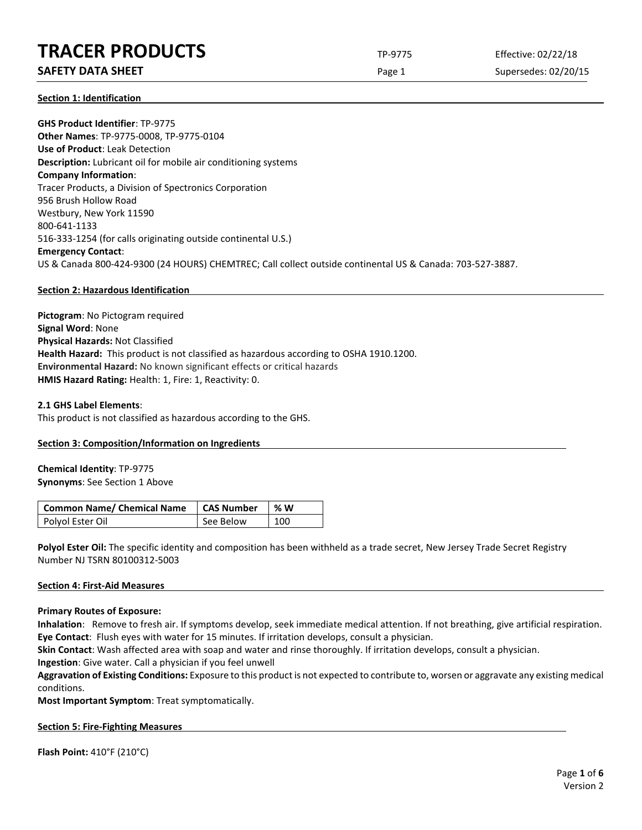## **TRACER PRODUCTS** TP-9775 Effective: 02/22/18

## **SAFETY DATA SHEET** SUPERFOUR CONSUMING THE Page 1 Supersedes: 02/20/15

**Section 1: Identification**

**GHS Product Identifier**: TP-9775 **Other Names**: TP-9775-0008, TP-9775-0104 **Use of Product**: Leak Detection **Description:** Lubricant oil for mobile air conditioning systems **Company Information**: Tracer Products, a Division of Spectronics Corporation 956 Brush Hollow Road Westbury, New York 11590 800-641-1133 516-333-1254 (for calls originating outside continental U.S.) **Emergency Contact**: US & Canada 800-424-9300 (24 HOURS) CHEMTREC; Call collect outside continental US & Canada: 703-527-3887.

## **Section 2: Hazardous Identification**

**Pictogram**: No Pictogram required **Signal Word**: None **Physical Hazards:** Not Classified **Health Hazard:** This product is not classified as hazardous according to OSHA 1910.1200. **Environmental Hazard:** No known significant effects or critical hazards **HMIS Hazard Rating:** Health: 1, Fire: 1, Reactivity: 0.

#### **2.1 GHS Label Elements**:

This product is not classified as hazardous according to the GHS.

## **Section 3: Composition/Information on Ingredients**

**Chemical Identity**: TP-9775 **Synonyms**: See Section 1 Above

| <b>Common Name/ Chemical Name</b> | <b>CAS Number</b> | . % W |
|-----------------------------------|-------------------|-------|
| Polyol Ester Oil                  | See Below         | 100   |

**Polyol Ester Oil:** The specific identity and composition has been withheld as a trade secret, New Jersey Trade Secret Registry Number NJ TSRN 80100312-5003

#### **Section 4: First-Aid Measures**

#### **Primary Routes of Exposure:**

**Inhalation**: Remove to fresh air. If symptoms develop, seek immediate medical attention. If not breathing, give artificial respiration. **Eye Contact**: Flush eyes with water for 15 minutes. If irritation develops, consult a physician.

**Skin Contact**: Wash affected area with soap and water and rinse thoroughly. If irritation develops, consult a physician.

**Ingestion**: Give water. Call a physician if you feel unwell

**Aggravation of Existing Conditions:** Exposure to this product is not expected to contribute to, worsen or aggravate any existing medical conditions.

**Most Important Symptom**: Treat symptomatically.

#### **Section 5: Fire-Fighting Measures**

**Flash Point:** 410°F (210°C)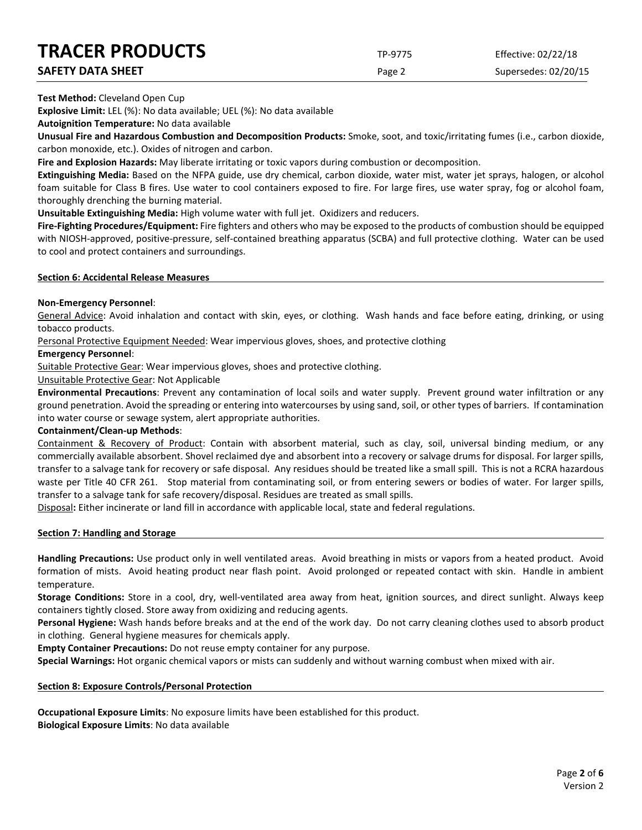## **TRACER PRODUCTS** TP-9775 Effective: 02/22/18

| <b>INALEN PRUDULIS</b>   | TP-9775       | Effective: 02/22/18  |
|--------------------------|---------------|----------------------|
| <b>SAFETY DATA SHEET</b> | Page $\angle$ | Supersedes: 02/20/15 |

**Test Method:** Cleveland Open Cup

**Explosive Limit:** LEL (%): No data available; UEL (%): No data available

**Autoignition Temperature:** No data available

**Unusual Fire and Hazardous Combustion and Decomposition Products:** Smoke, soot, and toxic/irritating fumes (i.e., carbon dioxide, carbon monoxide, etc.). Oxides of nitrogen and carbon.

**Fire and Explosion Hazards:** May liberate irritating or toxic vapors during combustion or decomposition.

**Extinguishing Media:** Based on the NFPA guide, use dry chemical, carbon dioxide, water mist, water jet sprays, halogen, or alcohol foam suitable for Class B fires. Use water to cool containers exposed to fire. For large fires, use water spray, fog or alcohol foam, thoroughly drenching the burning material.

**Unsuitable Extinguishing Media:** High volume water with full jet. Oxidizers and reducers.

**Fire-Fighting Procedures/Equipment:** Fire fighters and others who may be exposed to the products of combustion should be equipped with NIOSH-approved, positive-pressure, self-contained breathing apparatus (SCBA) and full protective clothing. Water can be used to cool and protect containers and surroundings.

## **Section 6: Accidental Release Measures**

## **Non-Emergency Personnel**:

General Advice: Avoid inhalation and contact with skin, eyes, or clothing. Wash hands and face before eating, drinking, or using tobacco products.

Personal Protective Equipment Needed: Wear impervious gloves, shoes, and protective clothing

## **Emergency Personnel**:

Suitable Protective Gear: Wear impervious gloves, shoes and protective clothing.

Unsuitable Protective Gear: Not Applicable

**Environmental Precautions**: Prevent any contamination of local soils and water supply. Prevent ground water infiltration or any ground penetration. Avoid the spreading or entering into watercourses by using sand, soil, or other types of barriers. If contamination into water course or sewage system, alert appropriate authorities.

## **Containment/Clean-up Methods**:

Containment & Recovery of Product: Contain with absorbent material, such as clay, soil, universal binding medium, or any commercially available absorbent. Shovel reclaimed dye and absorbent into a recovery or salvage drums for disposal. For larger spills, transfer to a salvage tank for recovery or safe disposal. Any residues should be treated like a small spill. This is not a RCRA hazardous waste per Title 40 CFR 261. Stop material from contaminating soil, or from entering sewers or bodies of water. For larger spills, transfer to a salvage tank for safe recovery/disposal. Residues are treated as small spills.

Disposal**:** Either incinerate or land fill in accordance with applicable local, state and federal regulations.

## **Section 7: Handling and Storage**

**Handling Precautions:** Use product only in well ventilated areas. Avoid breathing in mists or vapors from a heated product. Avoid formation of mists. Avoid heating product near flash point. Avoid prolonged or repeated contact with skin. Handle in ambient temperature.

**Storage Conditions:** Store in a cool, dry, well-ventilated area away from heat, ignition sources, and direct sunlight. Always keep containers tightly closed. Store away from oxidizing and reducing agents.

**Personal Hygiene:** Wash hands before breaks and at the end of the work day. Do not carry cleaning clothes used to absorb product in clothing. General hygiene measures for chemicals apply.

**Empty Container Precautions:** Do not reuse empty container for any purpose.

**Special Warnings:** Hot organic chemical vapors or mists can suddenly and without warning combust when mixed with air.

## **Section 8: Exposure Controls/Personal Protection**

**Occupational Exposure Limits**: No exposure limits have been established for this product. **Biological Exposure Limits**: No data available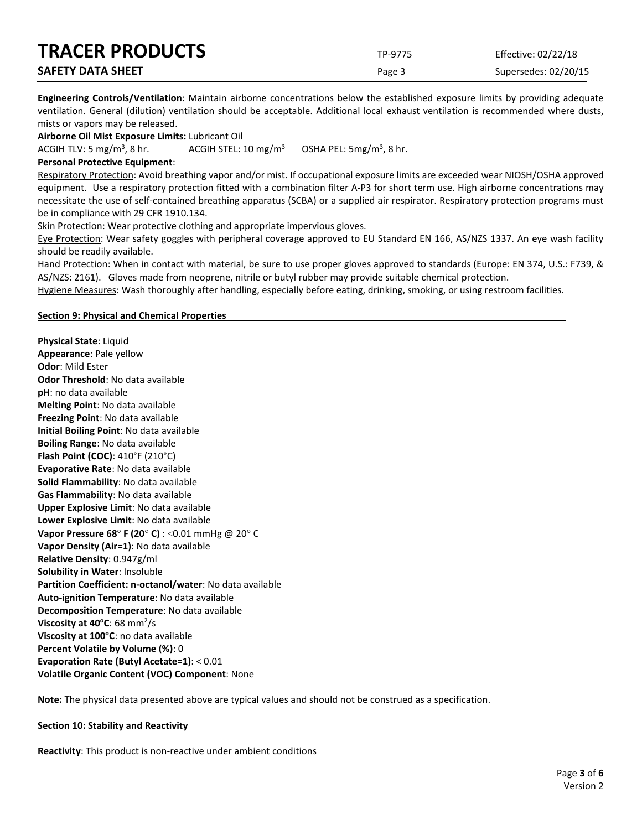| <b>TRACER PRODUCTS</b>   | TP-9775 | Effective: 02/22/18  |
|--------------------------|---------|----------------------|
| <b>SAFETY DATA SHEET</b> | Page 3  | Supersedes: 02/20/15 |

**Engineering Controls/Ventilation**: Maintain airborne concentrations below the established exposure limits by providing adequate ventilation. General (dilution) ventilation should be acceptable. Additional local exhaust ventilation is recommended where dusts, mists or vapors may be released.

**Airborne Oil Mist Exposure Limits:** Lubricant Oil

ACGIH TLV: 5 mg/m<sup>3</sup>, 8 hr. ACGIH STEL:  $10 \text{ mg/m}^3$ OSHA PEL:  $5mg/m<sup>3</sup>$ , 8 hr.

#### **Personal Protective Equipment**:

Respiratory Protection: Avoid breathing vapor and/or mist. If occupational exposure limits are exceeded wear NIOSH/OSHA approved equipment. Use a respiratory protection fitted with a combination filter A-P3 for short term use. High airborne concentrations may necessitate the use of self-contained breathing apparatus (SCBA) or a supplied air respirator. Respiratory protection programs must be in compliance with 29 CFR 1910.134.

Skin Protection: Wear protective clothing and appropriate impervious gloves.

Eye Protection: Wear safety goggles with peripheral coverage approved to EU Standard EN 166, AS/NZS 1337. An eye wash facility should be readily available.

Hand Protection: When in contact with material, be sure to use proper gloves approved to standards (Europe: EN 374, U.S.: F739, & AS/NZS: 2161). Gloves made from neoprene, nitrile or butyl rubber may provide suitable chemical protection.

Hygiene Measures: Wash thoroughly after handling, especially before eating, drinking, smoking, or using restroom facilities.

#### **Section 9: Physical and Chemical Properties**

**Physical State**: Liquid **Appearance**: Pale yellow **Odor**: Mild Ester **Odor Threshold**: No data available **pH**: no data available **Melting Point**: No data available **Freezing Point**: No data available **Initial Boiling Point**: No data available **Boiling Range**: No data available **Flash Point (COC)**: 410°F (210°C) **Evaporative Rate**: No data available **Solid Flammability**: No data available **Gas Flammability**: No data available **Upper Explosive Limit**: No data available **Lower Explosive Limit**: No data available **Vapor Pressure 68**° **F (20**° **C)** : <0.01 mmHg @ 20° C **Vapor Density (Air=1)**: No data available **Relative Density**: 0.947g/ml **Solubility in Water**: Insoluble **Partition Coefficient: n-octanol/water**: No data available **Auto-ignition Temperature**: No data available **Decomposition Temperature**: No data available **Viscosity at 40°C**: 68 mm<sup>2</sup>/s **Viscosity at 100°C**: no data available **Percent Volatile by Volume (%)**: 0 **Evaporation Rate (Butyl Acetate=1)**: < 0.01 **Volatile Organic Content (VOC) Component**: None

**Note:** The physical data presented above are typical values and should not be construed as a specification.

#### **Section 10: Stability and Reactivity**

**Reactivity**: This product is non-reactive under ambient conditions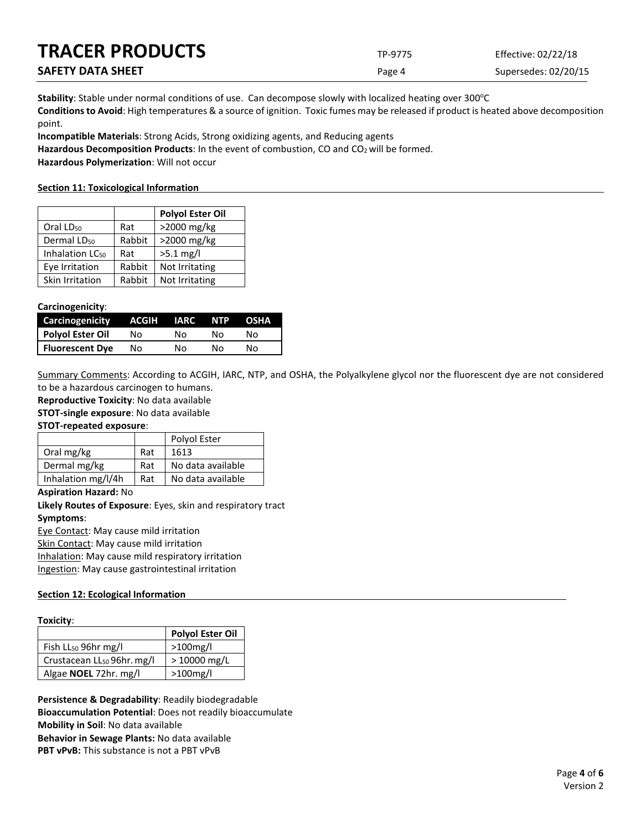| <b>TRACER PRODUCTS</b>   | TP-9775 | Effective: 02/22/18  |
|--------------------------|---------|----------------------|
| <b>SAFETY DATA SHEET</b> | Page 4  | Supersedes: 02/20/15 |

Stability: Stable under normal conditions of use. Can decompose slowly with localized heating over 300°C **Conditions to Avoid**: High temperatures & a source of ignition. Toxic fumes may be released if product is heated above decomposition point.

**Incompatible Materials**: Strong Acids, Strong oxidizing agents, and Reducing agents

Hazardous Decomposition Products: In the event of combustion, CO and CO<sub>2</sub> will be formed.

**Hazardous Polymerization**: Will not occur

## **Section 11: Toxicological Information**

|                             |        | <b>Polyol Ester Oil</b> |
|-----------------------------|--------|-------------------------|
| Oral LD <sub>50</sub>       | Rat    | >2000 mg/kg             |
| Dermal LD <sub>50</sub>     | Rabbit | >2000 mg/kg             |
| Inhalation LC <sub>50</sub> | Rat    | $>5.1$ mg/l             |
| Eye Irritation              | Rabbit | Not Irritating          |
| Skin Irritation             | Rabbit | Not Irritating          |

## **Carcinogenicity**:

| Carcinogenicity        | ACGIH | IARC | NTP. | <b>OSHA</b> |
|------------------------|-------|------|------|-------------|
| Polyol Ester Oil       | Nο    | N٥   | N٥   | N٥          |
| <b>Fluorescent Dye</b> | No    | N٥   | N٥   | N٥          |

Summary Comments: According to ACGIH, IARC, NTP, and OSHA, the Polyalkylene glycol nor the fluorescent dye are not considered to be a hazardous carcinogen to humans.

**Reproductive Toxicity**: No data available

**STOT-single exposure**: No data available

## **STOT-repeated exposure**:

|                    |     | Polyol Ester      |
|--------------------|-----|-------------------|
| Oral mg/kg         | Rat | 1613              |
| Dermal mg/kg       | Rat | No data available |
| Inhalation mg/l/4h | Rat | No data available |

#### **Aspiration Hazard:** No

**Likely Routes of Exposure**: Eyes, skin and respiratory tract **Symptoms**:

Eye Contact: May cause mild irritation Skin Contact: May cause mild irritation Inhalation: May cause mild respiratory irritation Ingestion: May cause gastrointestinal irritation

## **Section 12: Ecological Information**

## **Toxicity**:

|                                        | Polyol Ester Oil |
|----------------------------------------|------------------|
| Fish $LL_{50}$ 96hr mg/l               | $>100$ mg/l      |
| Crustacean LL <sub>50</sub> 96hr. mg/l | $>10000$ mg/L    |
| Algae <b>NOEL</b> 72hr. mg/l           | $>100$ mg/l      |

**Persistence & Degradability**: Readily biodegradable **Bioaccumulation Potential**: Does not readily bioaccumulate **Mobility in Soil**: No data available **Behavior in Sewage Plants:** No data available **PBT vPvB:** This substance is not a PBT vPvB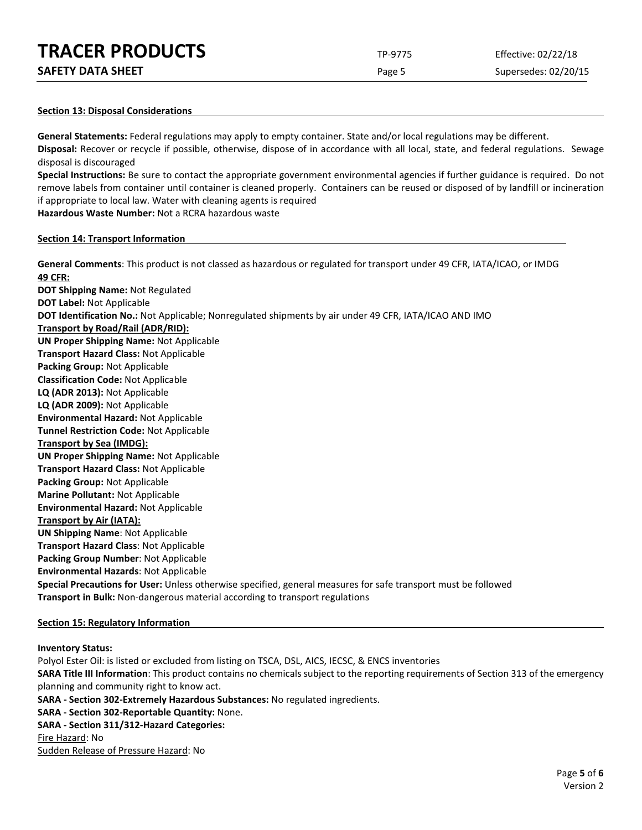| <b>TRACER PRODUCTS</b> | TP-9775 | Effective: 02/22/18 |
|------------------------|---------|---------------------|
|                        |         |                     |

| <b>SAFETY DATA SHEET</b> |  |
|--------------------------|--|
|--------------------------|--|

Page 5 Supersedes: 02/20/15

#### **Section 13: Disposal Considerations**

**General Statements:** Federal regulations may apply to empty container. State and/or local regulations may be different. **Disposal:** Recover or recycle if possible, otherwise, dispose of in accordance with all local, state, and federal regulations. Sewage disposal is discouraged

**Special Instructions:** Be sure to contact the appropriate government environmental agencies if further guidance is required. Do not remove labels from container until container is cleaned properly. Containers can be reused or disposed of by landfill or incineration if appropriate to local law. Water with cleaning agents is required

**Hazardous Waste Number:** Not a RCRA hazardous waste

#### **Section 14: Transport Information**

**General Comments**: This product is not classed as hazardous or regulated for transport under 49 CFR, IATA/ICAO, or IMDG **49 CFR: DOT Shipping Name:** Not Regulated **DOT Label:** Not Applicable **DOT Identification No.:** Not Applicable; Nonregulated shipments by air under 49 CFR, IATA/ICAO AND IMO **Transport by Road/Rail (ADR/RID): UN Proper Shipping Name:** Not Applicable **Transport Hazard Class:** Not Applicable **Packing Group:** Not Applicable **Classification Code:** Not Applicable **LQ (ADR 2013):** Not Applicable **LQ (ADR 2009):** Not Applicable **Environmental Hazard:** Not Applicable **Tunnel Restriction Code:** Not Applicable **Transport by Sea (IMDG): UN Proper Shipping Name:** Not Applicable **Transport Hazard Class:** Not Applicable **Packing Group:** Not Applicable **Marine Pollutant:** Not Applicable **Environmental Hazard:** Not Applicable **Transport by Air (IATA): UN Shipping Name**: Not Applicable **Transport Hazard Class**: Not Applicable **Packing Group Number**: Not Applicable **Environmental Hazards**: Not Applicable **Special Precautions for User:** Unless otherwise specified, general measures for safe transport must be followed **Transport in Bulk:** Non-dangerous material according to transport regulations

## **Section 15: Regulatory Information**

#### **Inventory Status:**

Polyol Ester Oil: is listed or excluded from listing on TSCA, DSL, AICS, IECSC, & ENCS inventories **SARA Title III Information**: This product contains no chemicals subject to the reporting requirements of Section 313 of the emergency planning and community right to know act. **SARA - Section 302-Extremely Hazardous Substances:** No regulated ingredients. **SARA - Section 302-Reportable Quantity:** None. **SARA - Section 311/312-Hazard Categories:** Fire Hazard: No Sudden Release of Pressure Hazard: No